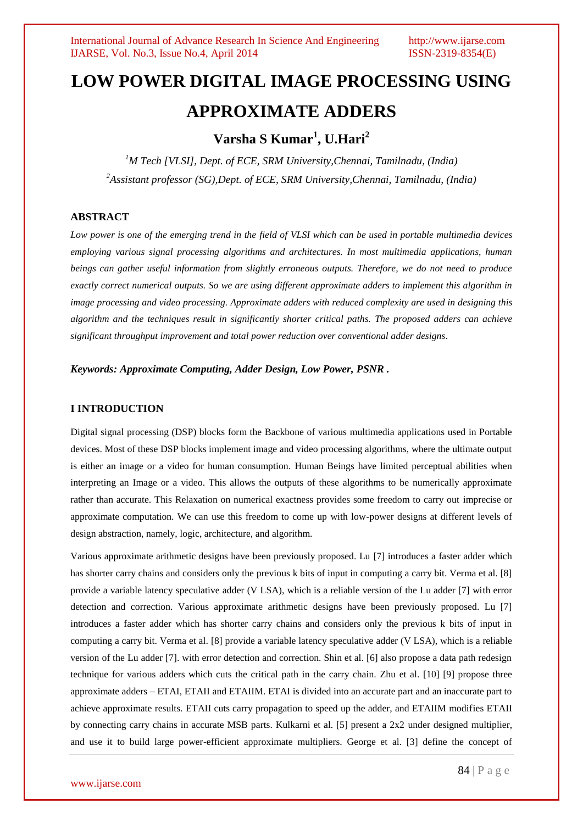# **LOW POWER DIGITAL IMAGE PROCESSING USING APPROXIMATE ADDERS**

## **Varsha S Kumar<sup>1</sup> , U.Hari<sup>2</sup>**

*<sup>1</sup>M Tech [VLSI], Dept. of ECE, SRM University,Chennai, Tamilnadu, (India) <sup>2</sup>Assistant professor (SG),Dept. of ECE, SRM University,Chennai, Tamilnadu, (India)*

### **ABSTRACT**

*Low power is one of the emerging trend in the field of VLSI which can be used in portable multimedia devices employing various signal processing algorithms and architectures. In most multimedia applications, human beings can gather useful information from slightly erroneous outputs. Therefore, we do not need to produce exactly correct numerical outputs. So we are using different approximate adders to implement this algorithm in image processing and video processing. Approximate adders with reduced complexity are used in designing this algorithm and the techniques result in significantly shorter critical paths. The proposed adders can achieve significant throughput improvement and total power reduction over conventional adder designs.*

### *Keywords: Approximate Computing, Adder Design, Low Power, PSNR .*

#### **I INTRODUCTION**

Digital signal processing (DSP) blocks form the Backbone of various multimedia applications used in Portable devices. Most of these DSP blocks implement image and video processing algorithms, where the ultimate output is either an image or a video for human consumption. Human Beings have limited perceptual abilities when interpreting an Image or a video. This allows the outputs of these algorithms to be numerically approximate rather than accurate. This Relaxation on numerical exactness provides some freedom to carry out imprecise or approximate computation. We can use this freedom to come up with low-power designs at different levels of design abstraction, namely, logic, architecture, and algorithm.

Various approximate arithmetic designs have been previously proposed. Lu [7] introduces a faster adder which has shorter carry chains and considers only the previous k bits of input in computing a carry bit. Verma et al. [8] provide a variable latency speculative adder (V LSA), which is a reliable version of the Lu adder [7] with error detection and correction. Various approximate arithmetic designs have been previously proposed. Lu [7] introduces a faster adder which has shorter carry chains and considers only the previous k bits of input in computing a carry bit. Verma et al. [8] provide a variable latency speculative adder (V LSA), which is a reliable version of the Lu adder [7]. with error detection and correction. Shin et al. [6] also propose a data path redesign technique for various adders which cuts the critical path in the carry chain. Zhu et al. [10] [9] propose three approximate adders – ETAI, ETAII and ETAIIM. ETAI is divided into an accurate part and an inaccurate part to achieve approximate results. ETAII cuts carry propagation to speed up the adder, and ETAIIM modifies ETAII by connecting carry chains in accurate MSB parts. Kulkarni et al. [5] present a 2x2 under designed multiplier, and use it to build large power-efficient approximate multipliers. George et al. [3] define the concept of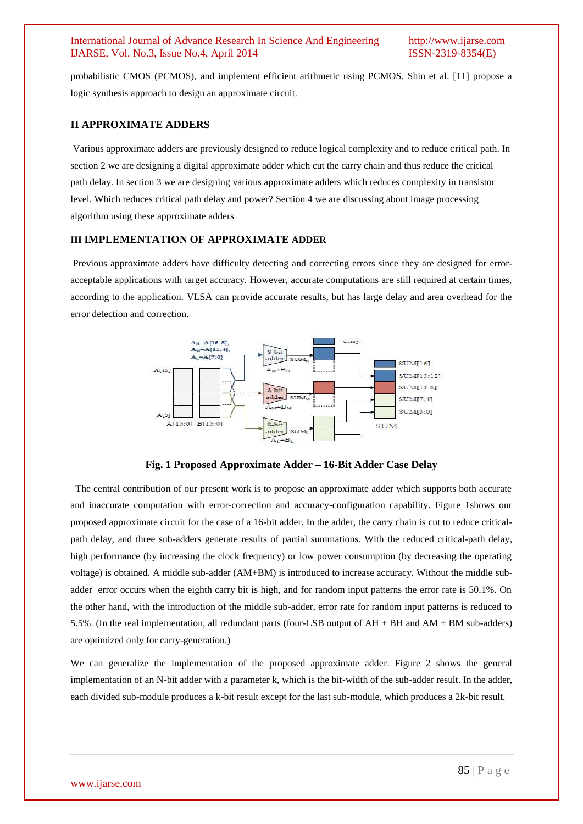probabilistic CMOS (PCMOS), and implement efficient arithmetic using PCMOS. Shin et al. [11] propose a logic synthesis approach to design an approximate circuit.

### **II APPROXIMATE ADDERS**

Various approximate adders are previously designed to reduce logical complexity and to reduce critical path. In section 2 we are designing a digital approximate adder which cut the carry chain and thus reduce the critical path delay. In section 3 we are designing various approximate adders which reduces complexity in transistor level. Which reduces critical path delay and power? Section 4 we are discussing about image processing algorithm using these approximate adders

#### **III IMPLEMENTATION OF APPROXIMATE ADDER**

Previous approximate adders have difficulty detecting and correcting errors since they are designed for erroracceptable applications with target accuracy. However, accurate computations are still required at certain times, according to the application. VLSA can provide accurate results, but has large delay and area overhead for the error detection and correction.



**Fig. 1 Proposed Approximate Adder – 16-Bit Adder Case Delay** 

 The central contribution of our present work is to propose an approximate adder which supports both accurate and inaccurate computation with error-correction and accuracy-configuration capability. Figure 1shows our proposed approximate circuit for the case of a 16-bit adder. In the adder, the carry chain is cut to reduce criticalpath delay, and three sub-adders generate results of partial summations. With the reduced critical-path delay, high performance (by increasing the clock frequency) or low power consumption (by decreasing the operating voltage) is obtained. A middle sub-adder (AM+BM) is introduced to increase accuracy. Without the middle subadder error occurs when the eighth carry bit is high, and for random input patterns the error rate is 50.1%. On the other hand, with the introduction of the middle sub-adder, error rate for random input patterns is reduced to 5.5%. (In the real implementation, all redundant parts (four-LSB output of AH + BH and AM + BM sub-adders) are optimized only for carry-generation.)

We can generalize the implementation of the proposed approximate adder. Figure 2 shows the general implementation of an N-bit adder with a parameter k, which is the bit-width of the sub-adder result. In the adder, each divided sub-module produces a k-bit result except for the last sub-module, which produces a 2k-bit result.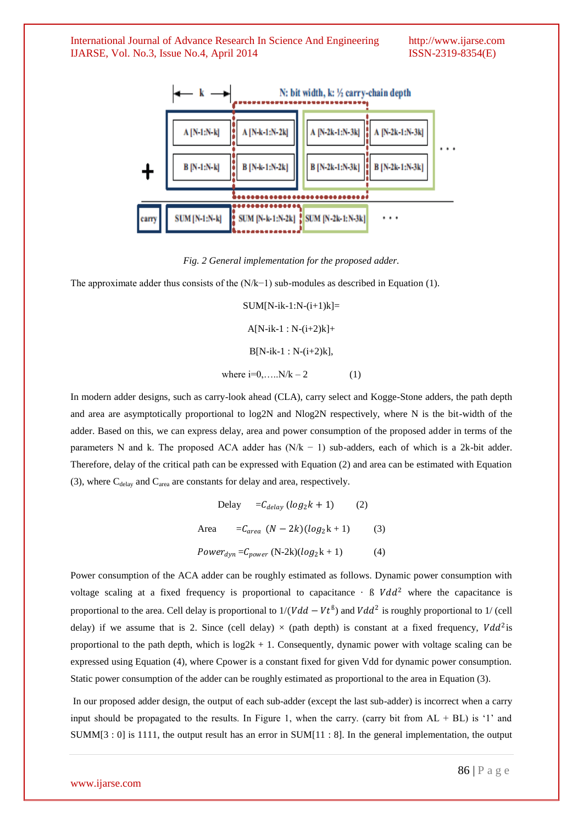

*Fig. 2 General implementation for the proposed adder.*

The approximate adder thus consists of the (N/k−1) sub-modules as described in Equation (1).

 $SUMIN-ik-1:N-(i+1)k$ ]=  $A[N-ik-1:N-(i+2)k]+$  $B[N-ik-1 : N-(i+2)k]$ , where  $i=0,...,N/k-2$  (1)

In modern adder designs, such as carry-look ahead (CLA), carry select and Kogge-Stone adders, the path depth and area are asymptotically proportional to log2N and Nlog2N respectively, where N is the bit-width of the adder. Based on this, we can express delay, area and power consumption of the proposed adder in terms of the parameters N and k. The proposed ACA adder has  $(N/k - 1)$  sub-adders, each of which is a 2k-bit adder. Therefore, delay of the critical path can be expressed with Equation (2) and area can be estimated with Equation (3), where  $C_{delay}$  and  $C_{area}$  are constants for delay and area, respectively.

$$
Delay = C_{delay} (log_2 k + 1)
$$
 (2)  
Area 
$$
= C_{area} (N - 2k)(log_2 k + 1)
$$
 (3)  

$$
Power_{dyn} = C_{power} (N-2k)(log_2 k + 1)
$$
 (4)

Power consumption of the ACA adder can be roughly estimated as follows. Dynamic power consumption with voltage scaling at a fixed frequency is proportional to capacitance  $\cdot$  B  $Vdd^2$  where the capacitance is proportional to the area. Cell delay is proportional to  $1/(Vdd - Vt^{\beta})$  and  $Vdd^2$  is roughly proportional to 1/ (cell delay) if we assume that is 2. Since (cell delay)  $\times$  (path depth) is constant at a fixed frequency,  $Vdd^2$ is proportional to the path depth, which is  $log2k + 1$ . Consequently, dynamic power with voltage scaling can be expressed using Equation (4), where Cpower is a constant fixed for given Vdd for dynamic power consumption. Static power consumption of the adder can be roughly estimated as proportional to the area in Equation (3).

In our proposed adder design, the output of each sub-adder (except the last sub-adder) is incorrect when a carry input should be propagated to the results. In Figure 1, when the carry. (carry bit from  $AL + BL$ ) is '1' and SUMM[3 : 0] is 1111, the output result has an error in SUM[11 : 8]. In the general implementation, the output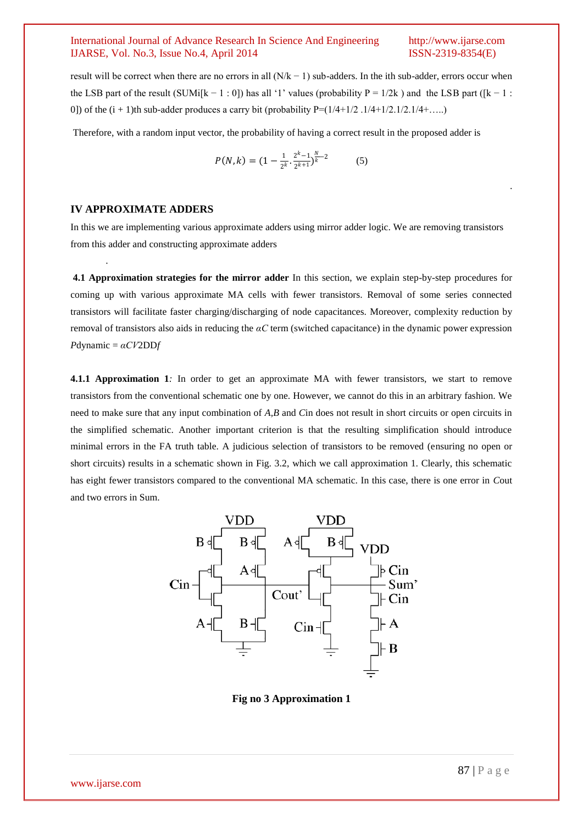.

result will be correct when there are no errors in all  $(N/k - 1)$  sub-adders. In the ith sub-adder, errors occur when the LSB part of the result (SUMi[k – 1 : 0]) has all '1' values (probability P = 1/2k) and the LSB part ([k – 1 : 0]) of the  $(i + 1)$ th sub-adder produces a carry bit (probability  $P = (1/4+1/2.1/4+1/2.1/2+1/4+....)$ 

Therefore, with a random input vector, the probability of having a correct result in the proposed adder is

$$
P(N,k) = (1 - \frac{1}{2^k} \cdot \frac{2^k - 1}{2^{k+1}})^{\frac{N}{k} - 2}
$$
 (5)

### **IV APPROXIMATE ADDERS**

.

In this we are implementing various approximate adders using mirror adder logic. We are removing transistors from this adder and constructing approximate adders

**4.1 Approximation strategies for the mirror adder** In this section, we explain step-by-step procedures for coming up with various approximate MA cells with fewer transistors. Removal of some series connected transistors will facilitate faster charging/discharging of node capacitances. Moreover, complexity reduction by removal of transistors also aids in reducing the *αC* term (switched capacitance) in the dynamic power expression *P*dynamic = *αCV*2DD*f* 

**4.1.1 Approximation 1***:* In order to get an approximate MA with fewer transistors, we start to remove transistors from the conventional schematic one by one. However, we cannot do this in an arbitrary fashion. We need to make sure that any input combination of *A,B* and *C*in does not result in short circuits or open circuits in the simplified schematic. Another important criterion is that the resulting simplification should introduce minimal errors in the FA truth table. A judicious selection of transistors to be removed (ensuring no open or short circuits) results in a schematic shown in Fig. 3.2, which we call approximation 1. Clearly, this schematic has eight fewer transistors compared to the conventional MA schematic. In this case, there is one error in *C*out and two errors in Sum.



**Fig no 3 Approximation 1**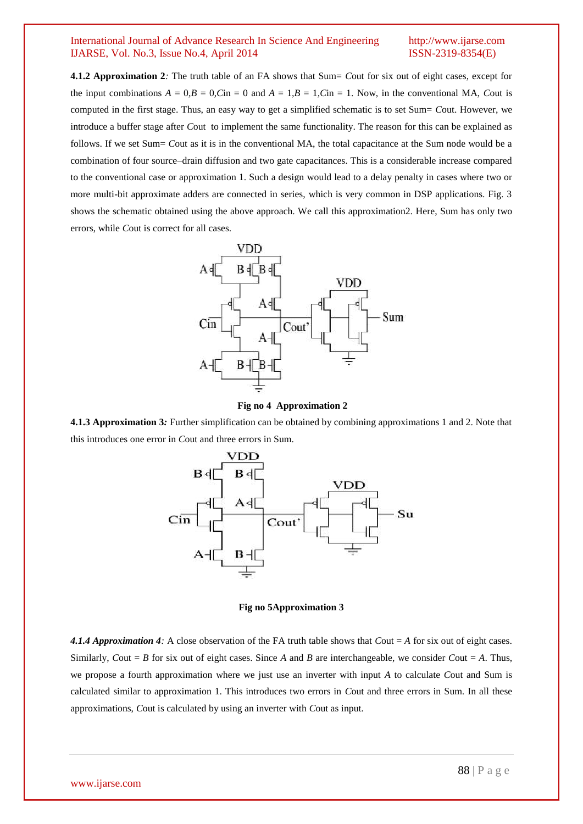**4.1.2 Approximation 2***:* The truth table of an FA shows that Sum= *C*out for six out of eight cases, except for the input combinations  $A = 0$ , $B = 0$ , $C$ in = 0 and  $A = 1$ , $B = 1$ , $C$ in = 1. Now, in the conventional MA, *Cout* is computed in the first stage. Thus, an easy way to get a simplified schematic is to set Sum= *C*out. However, we introduce a buffer stage after *C*out to implement the same functionality. The reason for this can be explained as follows. If we set Sum= *Cout as it is in the conventional MA*, the total capacitance at the Sum node would be a combination of four source–drain diffusion and two gate capacitances. This is a considerable increase compared to the conventional case or approximation 1. Such a design would lead to a delay penalty in cases where two or more multi-bit approximate adders are connected in series, which is very common in DSP applications. Fig. 3 shows the schematic obtained using the above approach. We call this approximation2. Here, Sum has only two errors, while *C*out is correct for all cases.



**Fig no 4 Approximation 2**

**4.1.3 Approximation 3***:* Further simplification can be obtained by combining approximations 1 and 2. Note that this introduces one error in *C*out and three errors in Sum.



**Fig no 5Approximation 3**

*4.1.4 Approximation 4:* A close observation of the FA truth table shows that *C*out = *A* for six out of eight cases. Similarly, *Cout* = *B* for six out of eight cases. Since *A* and *B* are interchangeable, we consider *Cout* = *A*. Thus, we propose a fourth approximation where we just use an inverter with input *A* to calculate *C*out and Sum is calculated similar to approximation 1. This introduces two errors in *C*out and three errors in Sum. In all these approximations, *C*out is calculated by using an inverter with *C*out as input.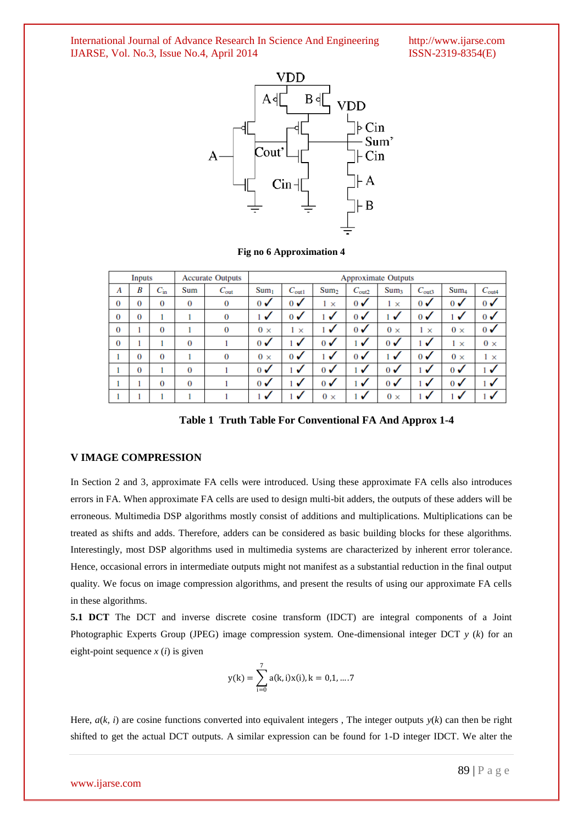International Journal of Advance Research In Science And Engineering http://www.ijarse.com IJARSE, Vol. No.3, Issue No.4, April 2014 ISSN-2319-8354(E) IJARSE, Vol. No.3, Issue No.4, April 2014



**Fig no 6 Approximation 4**

| Inputs   |          | <b>Accurate Outputs</b> |          | <b>Approximate Outputs</b> |                           |                           |                           |                   |                  |                   |                           |                           |
|----------|----------|-------------------------|----------|----------------------------|---------------------------|---------------------------|---------------------------|-------------------|------------------|-------------------|---------------------------|---------------------------|
| A        | B        | $C_{\rm in}$            | Sum      | $C_{\text{out}}$           | Sum <sub>1</sub>          | $C_{\text{out}1}$         | Sum <sub>2</sub>          | $C_{\text{out2}}$ | Sum <sub>3</sub> | $C_{\text{out3}}$ | Sum <sub>4</sub>          | $C_{\text{out4}}$         |
| $\bf{0}$ | $\bf{0}$ | 0                       | $\bf{0}$ | 0                          | $\mathbf{0}$ $\checkmark$ | $\mathbf{0}$              | $\times$                  | $\mathbf{0}$      | $1 \times$       | $\mathbf{0}$      | $\mathbf{0}$ $\checkmark$ | $\mathbf{0}$ $\checkmark$ |
| $\bf{0}$ | $\bf{0}$ |                         |          | 0                          | $\checkmark$              | $\mathbf{0}$ $\checkmark$ | ✓                         | $\mathbf{0}$      | ✓                | $\mathbf{0}$      | ✓                         | $\mathbf{0}$              |
| $\bf{0}$ |          | 0                       |          | 0                          | $0 \times$                | $1 \times$                | ✓                         | $\mathbf{0}$      | $0 \times$       | $1 \times$        | $0 \times$                | $\sigma$                  |
| $\bf{0}$ |          |                         | $\bf{0}$ |                            | $\mathbf{0}$ $\checkmark$ | √                         | $\mathbf{0}$ $\checkmark$ | $\checkmark$      | $\mathbf{0}$     | $\checkmark$      | $1 \times$                | $0 \times$                |
|          | $\Omega$ | 0                       |          | 0                          | $0 \times$                | $\mathbf{0}$ $\checkmark$ | √                         | $\mathbf{0}$      | ✓                | $\mathbf{0}$      | $0 \times$                | $1 \times$                |
|          | $\bf{0}$ |                         | $\bf{0}$ |                            | $\mathbf{0}$ $\checkmark$ | √                         | $\sigma$                  | √                 | $\mathbf{0}$     | √                 | $\sigma$                  | $\sqrt{ }$                |
|          |          | 0                       | $\bf{0}$ |                            | $\mathbf{0}$              | $\checkmark$              | $\mathbf{0}$              | $\checkmark$      | $\mathbf{0}$     | ✓                 | $\mathbf{0}$              | $\sqrt{ }$                |
|          |          |                         |          |                            | √                         | √                         | $0 \times$                | √                 | $0 \times$       | √                 | √                         | √                         |

**Table 1 Truth Table For Conventional FA And Approx 1-4**

#### **V IMAGE COMPRESSION**

In Section 2 and 3, approximate FA cells were introduced. Using these approximate FA cells also introduces errors in FA. When approximate FA cells are used to design multi-bit adders, the outputs of these adders will be erroneous. Multimedia DSP algorithms mostly consist of additions and multiplications. Multiplications can be treated as shifts and adds. Therefore, adders can be considered as basic building blocks for these algorithms. Interestingly, most DSP algorithms used in multimedia systems are characterized by inherent error tolerance. Hence, occasional errors in intermediate outputs might not manifest as a substantial reduction in the final output quality. We focus on image compression algorithms, and present the results of using our approximate FA cells in these algorithms.

**5.1 DCT** The DCT and inverse discrete cosine transform (IDCT) are integral components of a Joint Photographic Experts Group (JPEG) image compression system. One-dimensional integer DCT *y* (*k*) for an eight-point sequence  $x(i)$  is given

$$
y(k) = \sum_{i=0}^{7} a(k, i)x(i), k = 0, 1, ..., 7
$$

Here,  $a(k, i)$  are cosine functions converted into equivalent integers, The integer outputs  $y(k)$  can then be right shifted to get the actual DCT outputs. A similar expression can be found for 1-D integer IDCT. We alter the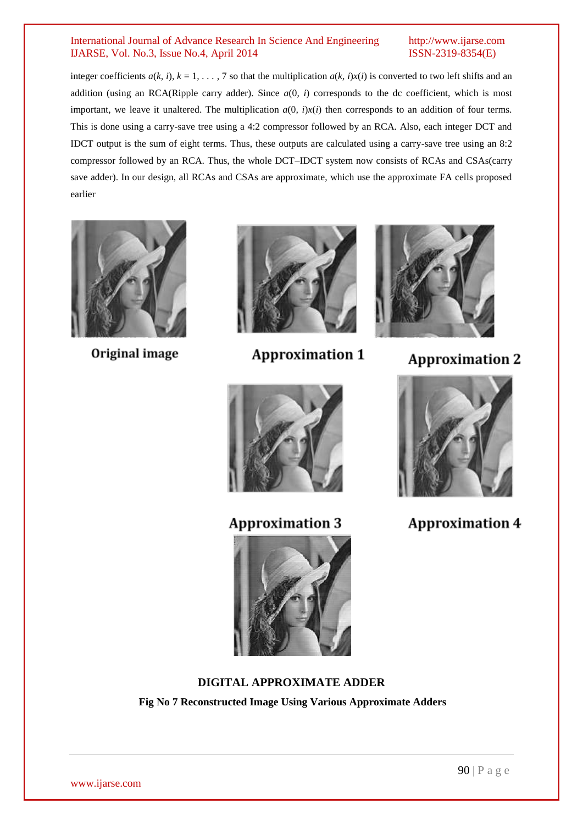integer coefficients  $a(k, i)$ ,  $k = 1, \ldots, 7$  so that the multiplication  $a(k, i)x(i)$  is converted to two left shifts and an addition (using an RCA(Ripple carry adder). Since *a*(0*, i*) corresponds to the dc coefficient, which is most important, we leave it unaltered. The multiplication  $a(0, i)x(i)$  then corresponds to an addition of four terms. This is done using a carry-save tree using a 4:2 compressor followed by an RCA. Also, each integer DCT and IDCT output is the sum of eight terms. Thus, these outputs are calculated using a carry-save tree using an 8:2 compressor followed by an RCA. Thus, the whole DCT–IDCT system now consists of RCAs and CSAs(carry save adder). In our design, all RCAs and CSAs are approximate, which use the approximate FA cells proposed earlier



Original image



**Approximation 1** 



**Approximation 2** 



**Approximation 4** 



**Approximation 3** 



**DIGITAL APPROXIMATE ADDER Fig No 7 Reconstructed Image Using Various Approximate Adders**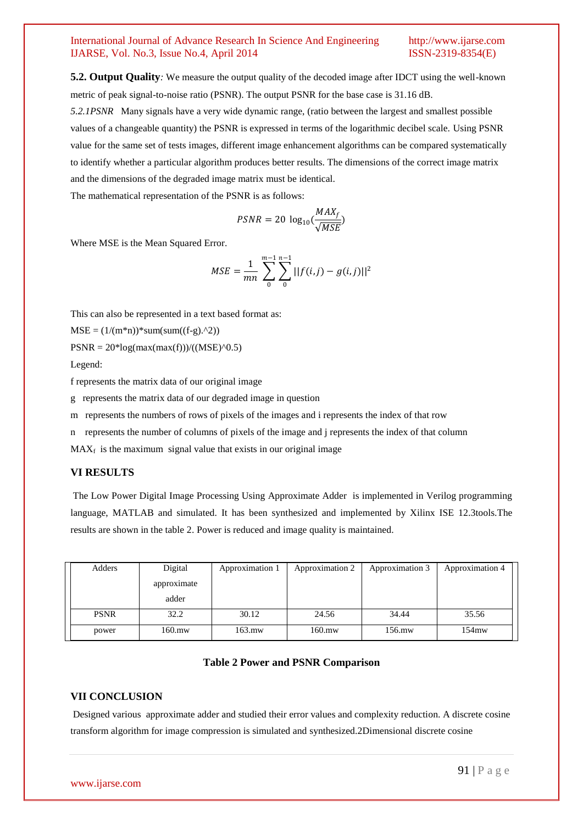**5.2. Output Quality***:* We measure the output quality of the decoded image after IDCT using the well-known metric of peak signal-to-noise ratio (PSNR). The output PSNR for the base case is 31.16 dB.

*5.2.1PSNR* Many signals have a very wide dynamic range, (ratio between the largest and smallest possible values of a changeable quantity) the PSNR is expressed in terms of the logarithmic decibel scale. Using PSNR value for the same set of tests images, different image enhancement algorithms can be compared systematically to identify whether a particular algorithm produces better results. The dimensions of the correct image matrix and the dimensions of the degraded image matrix must be identical.

The mathematical representation of the PSNR is as follows:

$$
PSNR = 20 \log_{10}(\frac{MAX_f}{\sqrt{MSE}})
$$

Where MSE is the Mean Squared Error.

$$
MSE = \frac{1}{mn} \sum_{0}^{m-1} \sum_{0}^{n-1} ||f(i,j) - g(i,j)||^2
$$

This can also be represented in a text based format as:

 $MSE = (1/(m*n))*sum(sum((f-g).^2))$ 

 $PSNR = 20 * log(max(max(f)))/( (MSE)^0.5)$ 

Legend:

f represents the matrix data of our original image

g represents the matrix data of our degraded image in question

m represents the numbers of rows of pixels of the images and i represents the index of that row

n represents the number of columns of pixels of the image and j represents the index of that column

 $MAX<sub>f</sub>$  is the maximum signal value that exists in our original image

#### **VI RESULTS**

The Low Power Digital Image Processing Using Approximate Adder is implemented in Verilog programming language, MATLAB and simulated. It has been synthesized and implemented by Xilinx ISE 12.3tools.The results are shown in the table 2. Power is reduced and image quality is maintained.

| Adders      | Digital     | Approximation 1 | Approximation 2 | Approximation 3 | Approximation 4 |
|-------------|-------------|-----------------|-----------------|-----------------|-----------------|
|             | approximate |                 |                 |                 |                 |
|             | adder       |                 |                 |                 |                 |
| <b>PSNR</b> | 32.2        | 30.12           | 24.56           | 34.44           | 35.56           |
| power       | 160.mw      | $163$ .mw       | $160$ .mw       | 156.mw          | $154$ mw        |

#### **Table 2 Power and PSNR Comparison**

#### **VII CONCLUSION**

Designed various approximate adder and studied their error values and complexity reduction. A discrete cosine transform algorithm for image compression is simulated and synthesized.2Dimensional discrete cosine